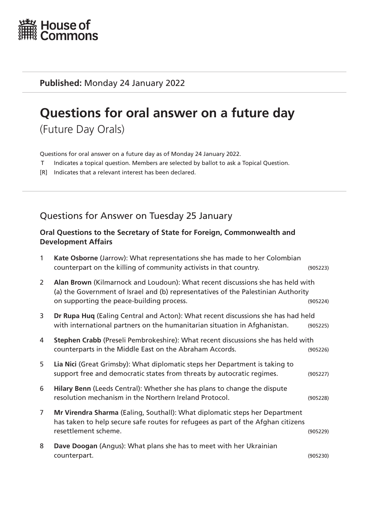

**Published:** Monday 24 January 2022

# **Questions for oral answer on a future day**

(Future Day Orals)

Questions for oral answer on a future day as of Monday 24 January 2022.

- T Indicates a topical question. Members are selected by ballot to ask a Topical Question.
- [R] Indicates that a relevant interest has been declared.

# Questions for Answer on Tuesday 25 January

#### **Oral Questions to the Secretary of State for Foreign, Commonwealth and Development Affairs**

| 1              | Kate Osborne (Jarrow): What representations she has made to her Colombian<br>counterpart on the killing of community activists in that country.                                                                  | (905223) |
|----------------|------------------------------------------------------------------------------------------------------------------------------------------------------------------------------------------------------------------|----------|
| $\mathsf{2}$   | Alan Brown (Kilmarnock and Loudoun): What recent discussions she has held with<br>(a) the Government of Israel and (b) representatives of the Palestinian Authority<br>on supporting the peace-building process. | (905224) |
| 3              | Dr Rupa Huq (Ealing Central and Acton): What recent discussions she has had held<br>with international partners on the humanitarian situation in Afghanistan.                                                    | (905225) |
| 4              | Stephen Crabb (Preseli Pembrokeshire): What recent discussions she has held with<br>counterparts in the Middle East on the Abraham Accords.                                                                      | (905226) |
| 5              | Lia Nici (Great Grimsby): What diplomatic steps her Department is taking to<br>support free and democratic states from threats by autocratic regimes.                                                            | (905227) |
| 6              | Hilary Benn (Leeds Central): Whether she has plans to change the dispute<br>resolution mechanism in the Northern Ireland Protocol.                                                                               | (905228) |
| $\overline{7}$ | Mr Virendra Sharma (Ealing, Southall): What diplomatic steps her Department<br>has taken to help secure safe routes for refugees as part of the Afghan citizens<br>resettlement scheme.                          | (905229) |
| 8              | Dave Doogan (Angus): What plans she has to meet with her Ukrainian<br>counterpart.                                                                                                                               | (905230) |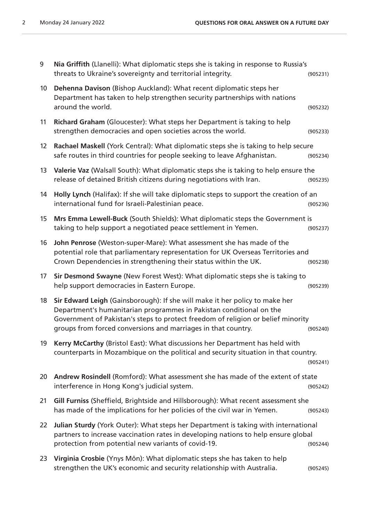| 9  | Nia Griffith (Llanelli): What diplomatic steps she is taking in response to Russia's<br>threats to Ukraine's sovereignty and territorial integrity.                                                                                                                                                     | (905231) |
|----|---------------------------------------------------------------------------------------------------------------------------------------------------------------------------------------------------------------------------------------------------------------------------------------------------------|----------|
| 10 | Dehenna Davison (Bishop Auckland): What recent diplomatic steps her<br>Department has taken to help strengthen security partnerships with nations<br>around the world.                                                                                                                                  | (905232) |
| 11 | Richard Graham (Gloucester): What steps her Department is taking to help<br>strengthen democracies and open societies across the world.                                                                                                                                                                 | (905233) |
| 12 | Rachael Maskell (York Central): What diplomatic steps she is taking to help secure<br>safe routes in third countries for people seeking to leave Afghanistan.                                                                                                                                           | (905234) |
| 13 | Valerie Vaz (Walsall South): What diplomatic steps she is taking to help ensure the<br>release of detained British citizens during negotiations with Iran.                                                                                                                                              | (905235) |
| 14 | Holly Lynch (Halifax): If she will take diplomatic steps to support the creation of an<br>international fund for Israeli-Palestinian peace.                                                                                                                                                             | (905236) |
| 15 | Mrs Emma Lewell-Buck (South Shields): What diplomatic steps the Government is<br>taking to help support a negotiated peace settlement in Yemen.                                                                                                                                                         | (905237) |
| 16 | John Penrose (Weston-super-Mare): What assessment she has made of the<br>potential role that parliamentary representation for UK Overseas Territories and<br>Crown Dependencies in strengthening their status within the UK.                                                                            | (905238) |
| 17 | Sir Desmond Swayne (New Forest West): What diplomatic steps she is taking to<br>help support democracies in Eastern Europe.                                                                                                                                                                             | (905239) |
| 18 | Sir Edward Leigh (Gainsborough): If she will make it her policy to make her<br>Department's humanitarian programmes in Pakistan conditional on the<br>Government of Pakistan's steps to protect freedom of religion or belief minority<br>groups from forced conversions and marriages in that country. | (905240) |
| 19 | Kerry McCarthy (Bristol East): What discussions her Department has held with<br>counterparts in Mozambique on the political and security situation in that country.                                                                                                                                     | (905241) |
| 20 | Andrew Rosindell (Romford): What assessment she has made of the extent of state<br>interference in Hong Kong's judicial system.                                                                                                                                                                         | (905242) |
| 21 | Gill Furniss (Sheffield, Brightside and Hillsborough): What recent assessment she<br>has made of the implications for her policies of the civil war in Yemen.                                                                                                                                           | (905243) |
| 22 | Julian Sturdy (York Outer): What steps her Department is taking with international<br>partners to increase vaccination rates in developing nations to help ensure global<br>protection from potential new variants of covid-19.                                                                         | (905244) |
| 23 | Virginia Crosbie (Ynys Môn): What diplomatic steps she has taken to help<br>strengthen the UK's economic and security relationship with Australia.                                                                                                                                                      | (905245) |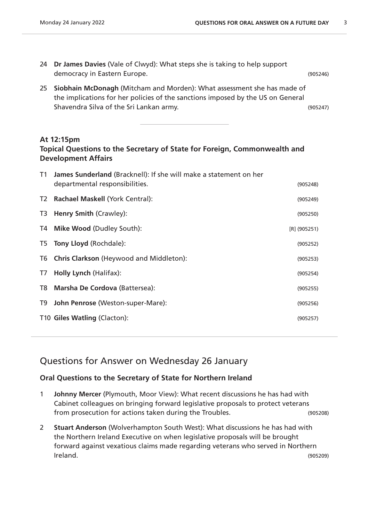- 24 **Dr James Davies** (Vale of Clwyd): What steps she is taking to help support democracy in Eastern Europe. (905246)
- 25 **Siobhain McDonagh** (Mitcham and Morden): What assessment she has made of the implications for her policies of the sanctions imposed by the US on General Shavendra Silva of the Sri Lankan army.<br>
(905247)

#### **At 12:15pm**

## **Topical Questions to the Secretary of State for Foreign, Commonwealth and Development Affairs**

| James Sunderland (Bracknell): If she will make a statement on her<br>departmental responsibilities. | (905248)                                                  |
|-----------------------------------------------------------------------------------------------------|-----------------------------------------------------------|
| Rachael Maskell (York Central):                                                                     | (905249)                                                  |
| <b>Henry Smith (Crawley):</b>                                                                       | (905250)                                                  |
| <b>Mike Wood (Dudley South):</b>                                                                    | $[R]$ (905251)                                            |
|                                                                                                     | (905252)                                                  |
| Chris Clarkson (Heywood and Middleton):                                                             | (905253)                                                  |
| Holly Lynch (Halifax):                                                                              | (905254)                                                  |
| Marsha De Cordova (Battersea):                                                                      | (905255)                                                  |
| John Penrose (Weston-super-Mare):                                                                   | (905256)                                                  |
|                                                                                                     | (905257)                                                  |
|                                                                                                     | T5 Tony Lloyd (Rochdale):<br>T10 Giles Watling (Clacton): |

# Questions for Answer on Wednesday 26 January

#### **Oral Questions to the Secretary of State for Northern Ireland**

- 1 **Johnny Mercer** (Plymouth, Moor View): What recent discussions he has had with Cabinet colleagues on bringing forward legislative proposals to protect veterans from prosecution for actions taken during the Troubles. (905208)
- 2 **Stuart Anderson** (Wolverhampton South West): What discussions he has had with the Northern Ireland Executive on when legislative proposals will be brought forward against vexatious claims made regarding veterans who served in Northern Ireland. (905209)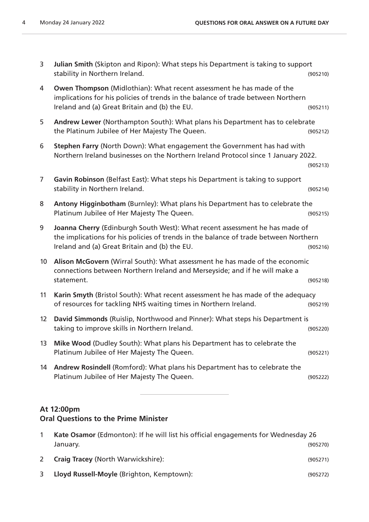| 3               | Julian Smith (Skipton and Ripon): What steps his Department is taking to support<br>stability in Northern Ireland.                                                                                                   | (905210) |
|-----------------|----------------------------------------------------------------------------------------------------------------------------------------------------------------------------------------------------------------------|----------|
| 4               | Owen Thompson (Midlothian): What recent assessment he has made of the<br>implications for his policies of trends in the balance of trade between Northern<br>Ireland and (a) Great Britain and (b) the EU.           | (905211) |
| 5               | Andrew Lewer (Northampton South): What plans his Department has to celebrate<br>the Platinum Jubilee of Her Majesty The Queen.                                                                                       | (905212) |
| 6               | Stephen Farry (North Down): What engagement the Government has had with<br>Northern Ireland businesses on the Northern Ireland Protocol since 1 January 2022.                                                        | (905213) |
| 7               | Gavin Robinson (Belfast East): What steps his Department is taking to support<br>stability in Northern Ireland.                                                                                                      | (905214) |
| 8               | Antony Higginbotham (Burnley): What plans his Department has to celebrate the<br>Platinum Jubilee of Her Majesty The Queen.                                                                                          | (905215) |
| 9               | Joanna Cherry (Edinburgh South West): What recent assessment he has made of<br>the implications for his policies of trends in the balance of trade between Northern<br>Ireland and (a) Great Britain and (b) the EU. | (905216) |
| 10 <sup>°</sup> | Alison McGovern (Wirral South): What assessment he has made of the economic<br>connections between Northern Ireland and Merseyside; and if he will make a<br>statement.                                              | (905218) |
| 11              | Karin Smyth (Bristol South): What recent assessment he has made of the adequacy<br>of resources for tackling NHS waiting times in Northern Ireland.                                                                  | (905219) |
| 12 <sup>2</sup> | David Simmonds (Ruislip, Northwood and Pinner): What steps his Department is<br>taking to improve skills in Northern Ireland.                                                                                        | (905220) |
| 13              | Mike Wood (Dudley South): What plans his Department has to celebrate the<br>Platinum Jubilee of Her Majesty The Queen.                                                                                               | (905221) |
| 14              | Andrew Rosindell (Romford): What plans his Department has to celebrate the<br>Platinum Jubilee of Her Majesty The Queen.                                                                                             | (905222) |
|                 |                                                                                                                                                                                                                      |          |

# **At 12:00pm**

# **Oral Questions to the Prime Minister**

|   | Kate Osamor (Edmonton): If he will list his official engagements for Wednesday 26<br>January. | (905270) |
|---|-----------------------------------------------------------------------------------------------|----------|
| 2 | <b>Craig Tracey (North Warwickshire):</b>                                                     | (905271) |
|   | Lloyd Russell-Moyle (Brighton, Kemptown):                                                     | (905272) |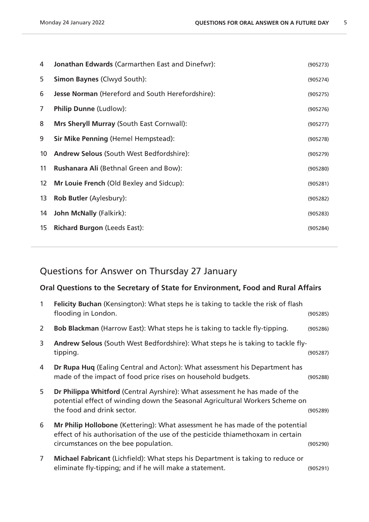| 4               | <b>Jonathan Edwards (Carmarthen East and Dinefwr):</b>  | (905273) |
|-----------------|---------------------------------------------------------|----------|
| 5               | <b>Simon Baynes (Clwyd South):</b>                      | (905274) |
| 6               | <b>Jesse Norman</b> (Hereford and South Herefordshire): | (905275) |
| 7               | Philip Dunne (Ludlow):                                  | (905276) |
| 8               | Mrs Sheryll Murray (South East Cornwall):               | (905277) |
| 9               | Sir Mike Penning (Hemel Hempstead):                     | (905278) |
| 10              | <b>Andrew Selous (South West Bedfordshire):</b>         | (905279) |
| 11              | <b>Rushanara Ali (Bethnal Green and Bow):</b>           | (905280) |
| 12 <sup>2</sup> | Mr Louie French (Old Bexley and Sidcup):                | (905281) |
| 13              | <b>Rob Butler (Aylesbury):</b>                          | (905282) |
| 14              | John McNally (Falkirk):                                 | (905283) |
| 15              | <b>Richard Burgon (Leeds East):</b>                     | (905284) |
|                 |                                                         |          |

# Questions for Answer on Thursday 27 January

### **Oral Questions to the Secretary of State for Environment, Food and Rural Affairs**

| $\mathbf{1}$   | Felicity Buchan (Kensington): What steps he is taking to tackle the risk of flash<br>flooding in London.                                                                                                 | (905285) |
|----------------|----------------------------------------------------------------------------------------------------------------------------------------------------------------------------------------------------------|----------|
| $\overline{2}$ | <b>Bob Blackman</b> (Harrow East): What steps he is taking to tackle fly-tipping.                                                                                                                        | (905286) |
| 3              | Andrew Selous (South West Bedfordshire): What steps he is taking to tackle fly-<br>tipping.                                                                                                              | (905287) |
| 4              | Dr Rupa Huq (Ealing Central and Acton): What assessment his Department has<br>made of the impact of food price rises on household budgets.                                                               | (905288) |
| 5              | Dr Philippa Whitford (Central Ayrshire): What assessment he has made of the<br>potential effect of winding down the Seasonal Agricultural Workers Scheme on<br>the food and drink sector.                | (905289) |
| 6              | Mr Philip Hollobone (Kettering): What assessment he has made of the potential<br>effect of his authorisation of the use of the pesticide thiamethoxam in certain<br>circumstances on the bee population. | (905290) |
| $\overline{7}$ | Michael Fabricant (Lichfield): What steps his Department is taking to reduce or<br>eliminate fly-tipping; and if he will make a statement.                                                               | (905291) |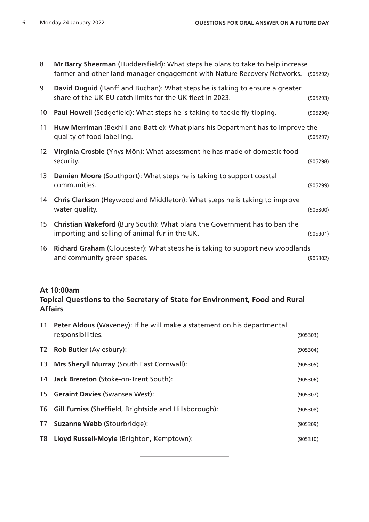| 8               | Mr Barry Sheerman (Huddersfield): What steps he plans to take to help increase<br>farmer and other land manager engagement with Nature Recovery Networks. (905292) |          |
|-----------------|--------------------------------------------------------------------------------------------------------------------------------------------------------------------|----------|
| 9               | David Duguid (Banff and Buchan): What steps he is taking to ensure a greater<br>share of the UK-EU catch limits for the UK fleet in 2023.                          | (905293) |
| 10 <sup>°</sup> | Paul Howell (Sedgefield): What steps he is taking to tackle fly-tipping.                                                                                           | (905296) |
| 11              | Huw Merriman (Bexhill and Battle): What plans his Department has to improve the<br>quality of food labelling.                                                      | (905297) |
| 12 <sup>2</sup> | Virginia Crosbie (Ynys Môn): What assessment he has made of domestic food<br>security.                                                                             | (905298) |
| 13              | Damien Moore (Southport): What steps he is taking to support coastal<br>communities.                                                                               | (905299) |
| 14              | Chris Clarkson (Heywood and Middleton): What steps he is taking to improve<br>water quality.                                                                       | (905300) |
| 15              | Christian Wakeford (Bury South): What plans the Government has to ban the<br>importing and selling of animal fur in the UK.                                        | (905301) |
| 16              | Richard Graham (Gloucester): What steps he is taking to support new woodlands<br>and community green spaces.                                                       | (905302) |
|                 |                                                                                                                                                                    |          |

#### **At 10:00am**

#### **Topical Questions to the Secretary of State for Environment, Food and Rural Affairs**

| T1 <b>Peter Aldous</b> (Waveney): If he will make a statement on his departmental<br>responsibilities. | (905303) |
|--------------------------------------------------------------------------------------------------------|----------|
| T2 Rob Butler (Aylesbury):                                                                             | (905304) |
| T3 Mrs Sheryll Murray (South East Cornwall):                                                           | (905305) |
| T4 Jack Brereton (Stoke-on-Trent South):                                                               | (905306) |
| T5 Geraint Davies (Swansea West):                                                                      | (905307) |
| T6 Gill Furniss (Sheffield, Brightside and Hillsborough):                                              | (905308) |
| T7 Suzanne Webb (Stourbridge):                                                                         | (905309) |
| T8 Lloyd Russell-Moyle (Brighton, Kemptown):                                                           | (905310) |
|                                                                                                        |          |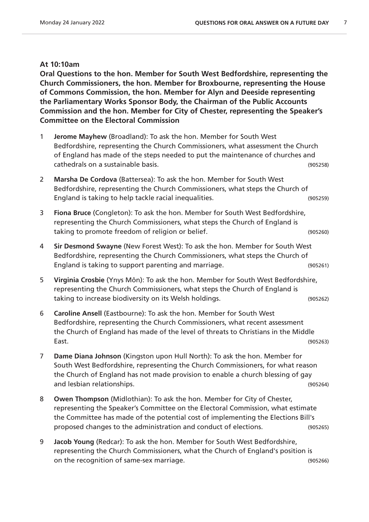#### **At 10:10am**

**Oral Questions to the hon. Member for South West Bedfordshire, representing the Church Commissioners, the hon. Member for Broxbourne, representing the House of Commons Commission, the hon. Member for Alyn and Deeside representing the Parliamentary Works Sponsor Body, the Chairman of the Public Accounts Commission and the hon. Member for City of Chester, representing the Speaker's Committee on the Electoral Commission**

- 1 **Jerome Mayhew** (Broadland): To ask the hon. Member for South West Bedfordshire, representing the Church Commissioners, what assessment the Church of England has made of the steps needed to put the maintenance of churches and cathedrals on a sustainable basis. (905258)
- 2 **Marsha De Cordova** (Battersea): To ask the hon. Member for South West Bedfordshire, representing the Church Commissioners, what steps the Church of England is taking to help tackle racial inequalities. (905259)
- 3 **Fiona Bruce** (Congleton): To ask the hon. Member for South West Bedfordshire, representing the Church Commissioners, what steps the Church of England is taking to promote freedom of religion or belief. (905260)
- 4 **Sir Desmond Swayne** (New Forest West): To ask the hon. Member for South West Bedfordshire, representing the Church Commissioners, what steps the Church of England is taking to support parenting and marriage. (905261)
- 5 **Virginia Crosbie** (Ynys Môn): To ask the hon. Member for South West Bedfordshire, representing the Church Commissioners, what steps the Church of England is taking to increase biodiversity on its Welsh holdings. (905262)
- 6 **Caroline Ansell** (Eastbourne): To ask the hon. Member for South West Bedfordshire, representing the Church Commissioners, what recent assessment the Church of England has made of the level of threats to Christians in the Middle East. (905263)
- 7 **Dame Diana Johnson** (Kingston upon Hull North): To ask the hon. Member for South West Bedfordshire, representing the Church Commissioners, for what reason the Church of England has not made provision to enable a church blessing of gay and lesbian relationships. (905264)
- 8 **Owen Thompson** (Midlothian): To ask the hon. Member for City of Chester, representing the Speaker's Committee on the Electoral Commission, what estimate the Committee has made of the potential cost of implementing the Elections Bill's proposed changes to the administration and conduct of elections. (905265)
- 9 **Jacob Young** (Redcar): To ask the hon. Member for South West Bedfordshire, representing the Church Commissioners, what the Church of England's position is on the recognition of same-sex marriage. (905266)